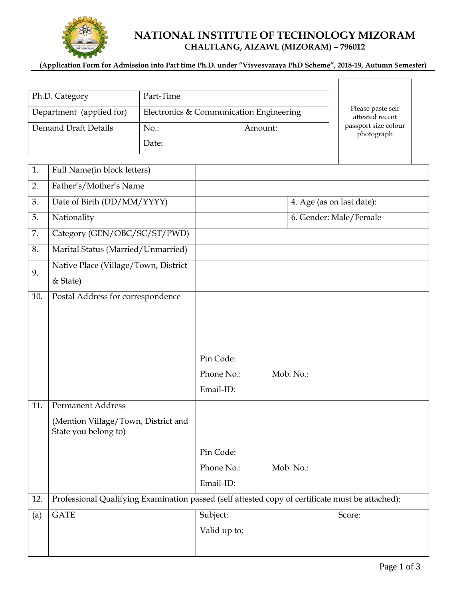

# **NATIONAL INSTITUTE OF TECHNOLOGY MIZORAM CHALTLANG, AIZAWL (MIZORAM) – 796012**

#### **(Application Form for Admission into Part time Ph.D. under "Visvesvaraya PhD Scheme", 2018-19, Autumn Semester)**

| Ph.D. Category           | Part-Time                               |                                      |
|--------------------------|-----------------------------------------|--------------------------------------|
| Department (applied for) | Electronics & Communication Engineering | Please paste self<br>attested recent |
| Demand Draft Details     | No.:<br>Amount:                         | passport size colour<br>photograph   |
|                          | Date:                                   |                                      |

| 1.  | Full Name(in block letters)                                                                      |              |                           |  |  |
|-----|--------------------------------------------------------------------------------------------------|--------------|---------------------------|--|--|
| 2.  | Father's/Mother's Name                                                                           |              |                           |  |  |
| 3.  | Date of Birth (DD/MM/YYYY)                                                                       |              | 4. Age (as on last date): |  |  |
| 5.  | Nationality                                                                                      |              | 6. Gender: Male/Female    |  |  |
| 7.  | Category (GEN/OBC/SC/ST/PWD)                                                                     |              |                           |  |  |
| 8.  | Marital Status (Married/Unmarried)                                                               |              |                           |  |  |
| 9.  | Native Place (Village/Town, District                                                             |              |                           |  |  |
|     | & State)                                                                                         |              |                           |  |  |
| 10. | Postal Address for correspondence                                                                |              |                           |  |  |
|     |                                                                                                  |              |                           |  |  |
|     |                                                                                                  |              |                           |  |  |
|     |                                                                                                  |              |                           |  |  |
|     |                                                                                                  | Pin Code:    |                           |  |  |
|     |                                                                                                  | Phone No.:   | Mob. No.:                 |  |  |
|     |                                                                                                  | Email-ID:    |                           |  |  |
| 11. | <b>Permanent Address</b>                                                                         |              |                           |  |  |
|     | (Mention Village/Town, District and<br>State you belong to)                                      |              |                           |  |  |
|     |                                                                                                  | Pin Code:    |                           |  |  |
|     |                                                                                                  | Phone No.:   | Mob. No.:                 |  |  |
|     |                                                                                                  | Email-ID:    |                           |  |  |
| 12. | Professional Qualifying Examination passed (self attested copy of certificate must be attached): |              |                           |  |  |
| (a) | <b>GATE</b>                                                                                      | Subject:     | Score:                    |  |  |
|     |                                                                                                  | Valid up to: |                           |  |  |
|     |                                                                                                  |              |                           |  |  |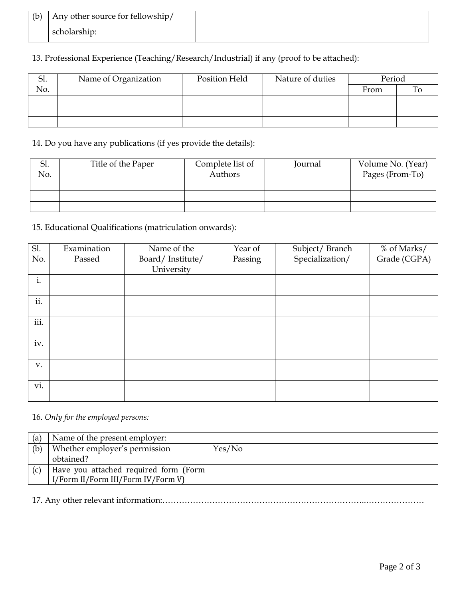| (b)   Any other source for fellowship/ |  |
|----------------------------------------|--|
| scholarship:                           |  |

# 13. Professional Experience (Teaching/Research/Industrial) if any (proof to be attached):

| .וכ | Name of Organization | Position Held | Nature of duties | Period |  |
|-----|----------------------|---------------|------------------|--------|--|
| No. |                      |               |                  | From   |  |
|     |                      |               |                  |        |  |
|     |                      |               |                  |        |  |
|     |                      |               |                  |        |  |

14. Do you have any publications (if yes provide the details):

| Sl. | Title of the Paper | Complete list of | Journal | Volume No. (Year) |
|-----|--------------------|------------------|---------|-------------------|
| No. |                    | Authors          |         | Pages (From-To)   |
|     |                    |                  |         |                   |
|     |                    |                  |         |                   |
|     |                    |                  |         |                   |

15. Educational Qualifications (matriculation onwards):

| Sl.  | Examination | Name of the      | Year of |                                   | % of Marks/  |
|------|-------------|------------------|---------|-----------------------------------|--------------|
| No.  | Passed      | Board/Institute/ | Passing | Subject/Branch<br>Specialization/ | Grade (CGPA) |
|      |             | University       |         |                                   |              |
| i.   |             |                  |         |                                   |              |
|      |             |                  |         |                                   |              |
| ii.  |             |                  |         |                                   |              |
|      |             |                  |         |                                   |              |
| iii. |             |                  |         |                                   |              |
|      |             |                  |         |                                   |              |
| iv.  |             |                  |         |                                   |              |
|      |             |                  |         |                                   |              |
| V.   |             |                  |         |                                   |              |
|      |             |                  |         |                                   |              |
| vi.  |             |                  |         |                                   |              |
|      |             |                  |         |                                   |              |

## 16. *Only for the employed persons:*

| (a) | Name of the present employer:         |        |
|-----|---------------------------------------|--------|
| (b) | Whether employer's permission         | Yes/No |
|     | obtained?                             |        |
| (C) | Have you attached required form (Form |        |
|     | I/Form II/Form III/Form IV/Form V)    |        |

17. Any other relevant information:………………………………………………………………..…………………